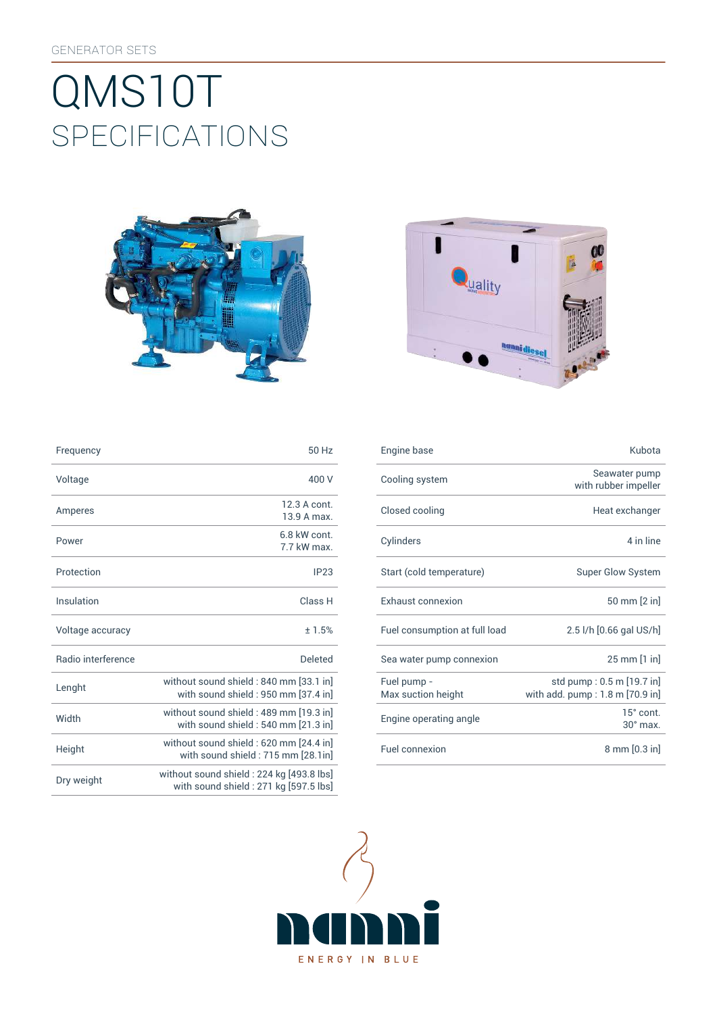# SpEcificATiONS QMS10T





| Frequency                 | 50 Hz                                                                              |
|---------------------------|------------------------------------------------------------------------------------|
| Voltage                   | 400 V                                                                              |
| Amperes                   | 12.3 A cont.<br>13.9 A max.                                                        |
| Power                     | 6.8 kW cont<br>7.7 kW max.                                                         |
| Protection                | IP23                                                                               |
| Insulation                | Class <sub>H</sub>                                                                 |
| Voltage accuracy          | ±1.5%                                                                              |
| <b>Badio</b> interference | Deleted                                                                            |
| Lenght                    | without sound shield: 840 mm [33.1 in]<br>with sound shield : 950 mm [37.4 in]     |
| Width                     | without sound shield: 489 mm [19.3 in]<br>with sound shield: 540 mm [21.3 in]      |
| Height                    | without sound shield: 620 mm [24.4 in]<br>with sound shield: 715 mm [28.1in]       |
| Dry weight                | without sound shield: 224 kg [493.8 lbs]<br>with sound shield : 271 kg [597.5 lbs] |

| Frequency          | 50 Hz                                                                          | Engine base                       | Kubota                                                       |
|--------------------|--------------------------------------------------------------------------------|-----------------------------------|--------------------------------------------------------------|
| Voltage            | 400 V                                                                          | Cooling system                    | Seawater pump<br>with rubber impeller                        |
| Amperes            | 12.3 A cont.<br>13.9 A max.                                                    | Closed cooling                    | Heat exchanger                                               |
| Power              | 6.8 kW cont.<br>7.7 kW max.                                                    | Cylinders                         | 4 in line                                                    |
| Protection         | IP23                                                                           | Start (cold temperature)          | <b>Super Glow System</b>                                     |
| Insulation         | Class H                                                                        | Exhaust connexion                 | 50 mm [2 in]                                                 |
| Voltage accuracy   | ±1.5%                                                                          | Fuel consumption at full load     | 2.5 l/h [0.66 gal US/h]                                      |
| Radio interference | <b>Deleted</b>                                                                 | Sea water pump connexion          | 25 mm [1 in]                                                 |
| Lenght             | without sound shield: 840 mm [33.1 in]<br>with sound shield: 950 mm [37.4 in]  | Fuel pump -<br>Max suction height | std pump: 0.5 m [19.7 in]<br>with add. pump: 1.8 m [70.9 in] |
| Width              | without sound shield: 489 mm [19.3 in]<br>with sound shield : 540 mm [21.3 in] | Engine operating angle            | $15^\circ$ cont.<br>$30^\circ$ max.                          |
| Height             | without sound shield: 620 mm [24.4 in]<br>with sound shield : 715 mm [28.1in]  | Fuel connexion                    | 8 mm [0.3 in]                                                |